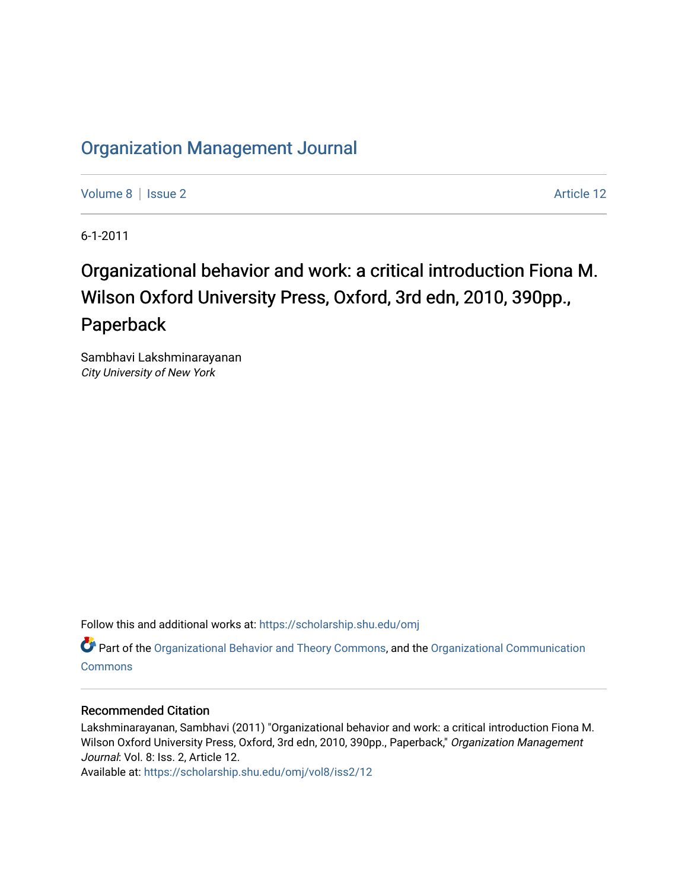### [Organization Management Journal](https://scholarship.shu.edu/omj)

[Volume 8](https://scholarship.shu.edu/omj/vol8) | [Issue 2](https://scholarship.shu.edu/omj/vol8/iss2) Article 12

6-1-2011

## Organizational behavior and work: a critical introduction Fiona M. Wilson Oxford University Press, Oxford, 3rd edn, 2010, 390pp., Paperback

Sambhavi Lakshminarayanan City University of New York

Follow this and additional works at: [https://scholarship.shu.edu/omj](https://scholarship.shu.edu/omj?utm_source=scholarship.shu.edu%2Fomj%2Fvol8%2Fiss2%2F12&utm_medium=PDF&utm_campaign=PDFCoverPages) 

Part of the [Organizational Behavior and Theory Commons,](http://network.bepress.com/hgg/discipline/639?utm_source=scholarship.shu.edu%2Fomj%2Fvol8%2Fiss2%2F12&utm_medium=PDF&utm_campaign=PDFCoverPages) and the [Organizational Communication](http://network.bepress.com/hgg/discipline/335?utm_source=scholarship.shu.edu%2Fomj%2Fvol8%2Fiss2%2F12&utm_medium=PDF&utm_campaign=PDFCoverPages) **[Commons](http://network.bepress.com/hgg/discipline/335?utm_source=scholarship.shu.edu%2Fomj%2Fvol8%2Fiss2%2F12&utm_medium=PDF&utm_campaign=PDFCoverPages)** 

### Recommended Citation

Lakshminarayanan, Sambhavi (2011) "Organizational behavior and work: a critical introduction Fiona M. Wilson Oxford University Press, Oxford, 3rd edn, 2010, 390pp., Paperback," Organization Management Journal: Vol. 8: Iss. 2, Article 12.

Available at: [https://scholarship.shu.edu/omj/vol8/iss2/12](https://scholarship.shu.edu/omj/vol8/iss2/12?utm_source=scholarship.shu.edu%2Fomj%2Fvol8%2Fiss2%2F12&utm_medium=PDF&utm_campaign=PDFCoverPages)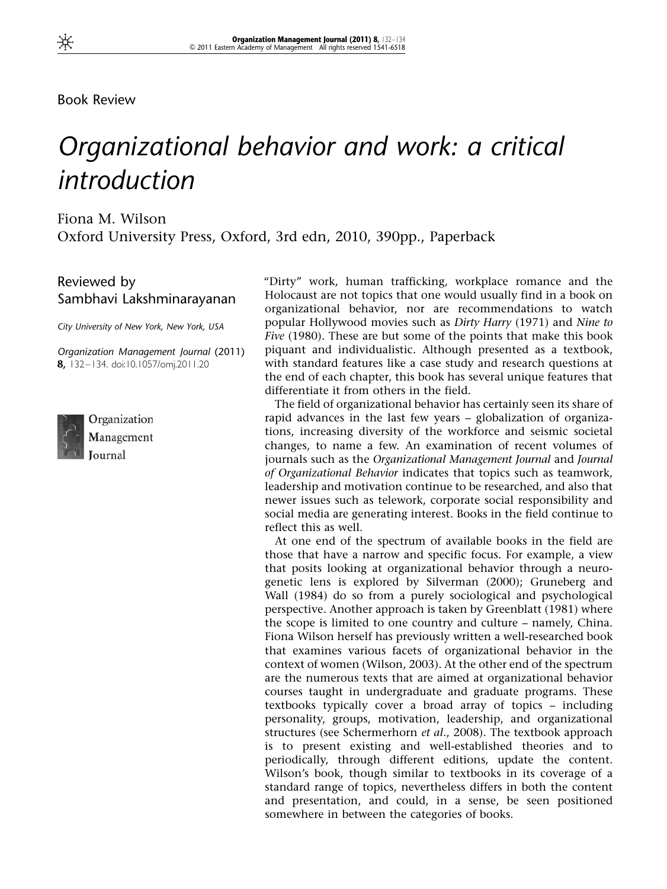Book Review

# Organizational behavior and work: a critical introduction

Fiona M. Wilson Oxford University Press, Oxford, 3rd edn, 2010, 390pp., Paperback

Reviewed by Sambhavi Lakshminarayanan

City University of New York, New York, USA

Organization Management Journal (2011) 8, 132-134. doi:10.1057/omj.2011.20



"Dirty" work, human trafficking, workplace romance and the Holocaust are not topics that one would usually find in a book on organizational behavior, nor are recommendations to watch popular Hollywood movies such as Dirty Harry (1971) and Nine to Five (1980). These are but some of the points that make this book piquant and individualistic. Although presented as a textbook, with standard features like a case study and research questions at the end of each chapter, this book has several unique features that differentiate it from others in the field.

The field of organizational behavior has certainly seen its share of rapid advances in the last few years – globalization of organizations, increasing diversity of the workforce and seismic societal changes, to name a few. An examination of recent volumes of journals such as the Organizational Management Journal and Journal of Organizational Behavior indicates that topics such as teamwork, leadership and motivation continue to be researched, and also that newer issues such as telework, corporate social responsibility and social media are generating interest. Books in the field continue to reflect this as well.

At one end of the spectrum of available books in the field are those that have a narrow and specific focus. For example, a view that posits looking at organizational behavior through a neurogenetic lens is explored by Silverman (2000); Gruneberg and Wall (1984) do so from a purely sociological and psychological perspective. Another approach is taken by Greenblatt (1981) where the scope is limited to one country and culture – namely, China. Fiona Wilson herself has previously written a well-researched book that examines various facets of organizational behavior in the context of women (Wilson, 2003). At the other end of the spectrum are the numerous texts that are aimed at organizational behavior courses taught in undergraduate and graduate programs. These textbooks typically cover a broad array of topics – including personality, groups, motivation, leadership, and organizational structures (see Schermerhorn et al., 2008). The textbook approach is to present existing and well-established theories and to periodically, through different editions, update the content. Wilson's book, though similar to textbooks in its coverage of a standard range of topics, nevertheless differs in both the content and presentation, and could, in a sense, be seen positioned somewhere in between the categories of books.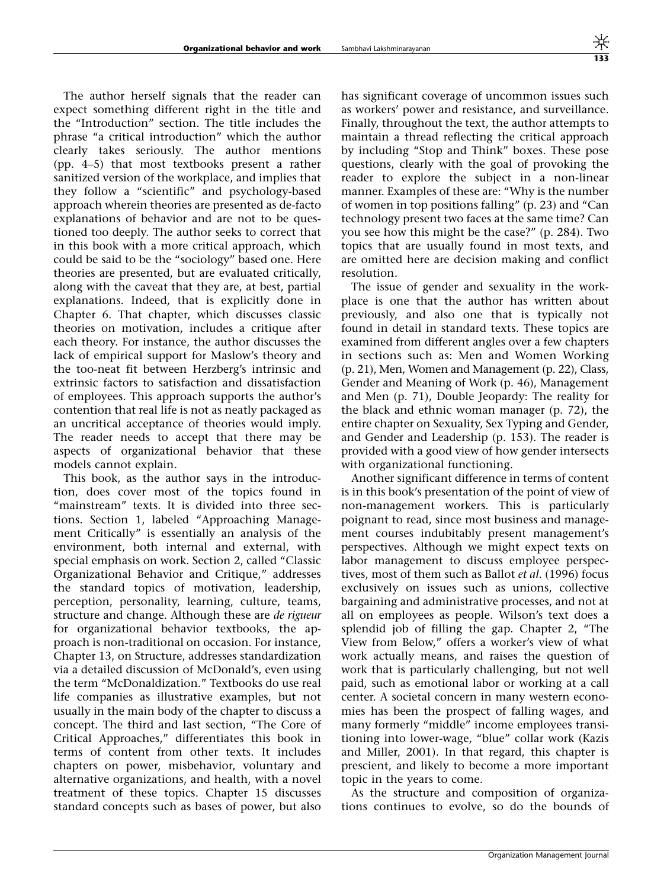133

The author herself signals that the reader can expect something different right in the title and the "Introduction" section. The title includes the phrase "a critical introduction" which the author clearly takes seriously. The author mentions (pp. 4–5) that most textbooks present a rather sanitized version of the workplace, and implies that they follow a "scientific" and psychology-based approach wherein theories are presented as de-facto explanations of behavior and are not to be questioned too deeply. The author seeks to correct that in this book with a more critical approach, which could be said to be the "sociology" based one. Here theories are presented, but are evaluated critically, along with the caveat that they are, at best, partial explanations. Indeed, that is explicitly done in Chapter 6. That chapter, which discusses classic theories on motivation, includes a critique after each theory. For instance, the author discusses the lack of empirical support for Maslow's theory and the too-neat fit between Herzberg's intrinsic and extrinsic factors to satisfaction and dissatisfaction of employees. This approach supports the author's contention that real life is not as neatly packaged as an uncritical acceptance of theories would imply. The reader needs to accept that there may be aspects of organizational behavior that these models cannot explain.

This book, as the author says in the introduction, does cover most of the topics found in "mainstream" texts. It is divided into three sections. Section 1, labeled "Approaching Management Critically" is essentially an analysis of the environment, both internal and external, with special emphasis on work. Section 2, called "Classic Organizational Behavior and Critique," addresses the standard topics of motivation, leadership, perception, personality, learning, culture, teams, structure and change. Although these are *de rigueur* for organizational behavior textbooks, the approach is non-traditional on occasion. For instance, Chapter 13, on Structure, addresses standardization via a detailed discussion of McDonald's, even using the term "McDonaldization." Textbooks do use real life companies as illustrative examples, but not usually in the main body of the chapter to discuss a concept. The third and last section, "The Core of Critical Approaches," differentiates this book in terms of content from other texts. It includes chapters on power, misbehavior, voluntary and alternative organizations, and health, with a novel treatment of these topics. Chapter 15 discusses standard concepts such as bases of power, but also has significant coverage of uncommon issues such as workers' power and resistance, and surveillance. Finally, throughout the text, the author attempts to maintain a thread reflecting the critical approach by including "Stop and Think" boxes. These pose questions, clearly with the goal of provoking the reader to explore the subject in a non-linear manner. Examples of these are: "Why is the number of women in top positions falling" (p. 23) and "Can technology present two faces at the same time? Can you see how this might be the case?" (p. 284). Two topics that are usually found in most texts, and are omitted here are decision making and conflict resolution.

The issue of gender and sexuality in the workplace is one that the author has written about previously, and also one that is typically not found in detail in standard texts. These topics are examined from different angles over a few chapters in sections such as: Men and Women Working (p. 21), Men, Women and Management (p. 22), Class, Gender and Meaning of Work (p. 46), Management and Men (p. 71), Double Jeopardy: The reality for the black and ethnic woman manager (p. 72), the entire chapter on Sexuality, Sex Typing and Gender, and Gender and Leadership (p. 153). The reader is provided with a good view of how gender intersects with organizational functioning.

Another significant difference in terms of content is in this book's presentation of the point of view of non-management workers. This is particularly poignant to read, since most business and management courses indubitably present management's perspectives. Although we might expect texts on labor management to discuss employee perspectives, most of them such as Ballot et al. (1996) focus exclusively on issues such as unions, collective bargaining and administrative processes, and not at all on employees as people. Wilson's text does a splendid job of filling the gap. Chapter 2, "The View from Below," offers a worker's view of what work actually means, and raises the question of work that is particularly challenging, but not well paid, such as emotional labor or working at a call center. A societal concern in many western economies has been the prospect of falling wages, and many formerly "middle" income employees transitioning into lower-wage, "blue" collar work (Kazis and Miller, 2001). In that regard, this chapter is prescient, and likely to become a more important topic in the years to come.

As the structure and composition of organizations continues to evolve, so do the bounds of